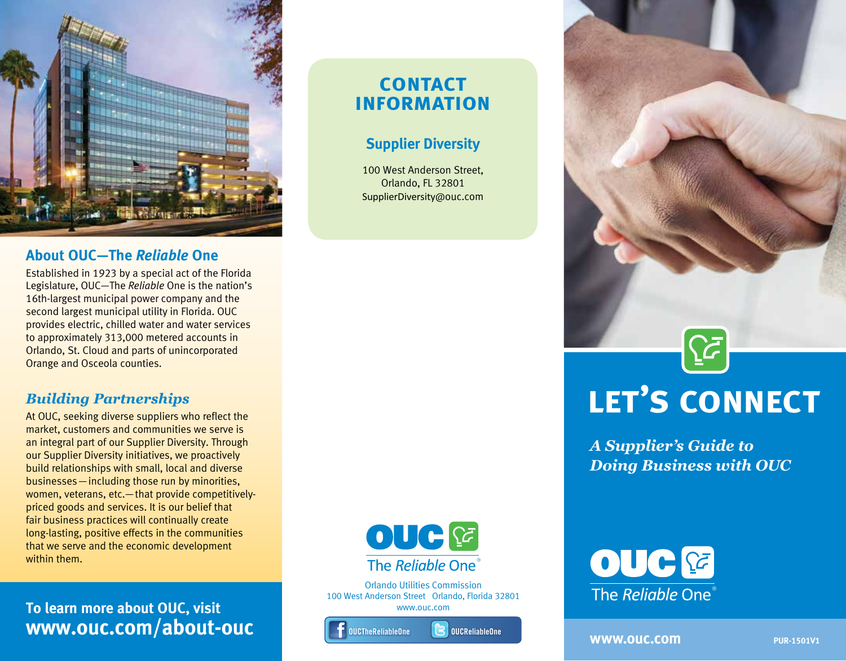

### **About OUC—The** *Reliable* **One**

Established in 1923 by a special act of the Florida Legislature, OUC—The *Reliable* One is the nation's 16th-largest municipal power company and the second largest municipal utility in Florida. OUC provides electric, chilled water and water services to approximately 313,000 metered accounts in Orlando, St. Cloud and parts of unincorporated Orange and Osceola counties.

## *Building Partnerships*

At OUC, seeking diverse suppliers who reflect the market, customers and communities we serve is an integral part of our Supplier Diversity. Through our Supplier Diversity initiatives, we proactively build relationships with small, local and diverse businesses—including those run by minorities, women, veterans, etc.—that provide competitivelypriced goods and services. It is our belief that fair business practices will continually create long-lasting, positive effects in the communities that we serve and the economic development within them.

**To learn more about OUC, visit www.ouc.com/about-ouc**

# **contact information**

## **Supplier Diversity**

100 West Anderson Street, Orlando, FL 32801 SupplierDiversity@ouc.com



Orlando Utilities Commission 100 West Anderson Street Orlando, Florida 32801 www.ouc.com







**WWW.OUC.COM PUR-1501V1** 

OUC<sup>E</sup>

The Reliable One<sup>®</sup>

**let's connect**

 $\left[\sum_{i=1}^{n}\right]$ 

*A Supplier's Guide to* 

*Doing Business with OUC*